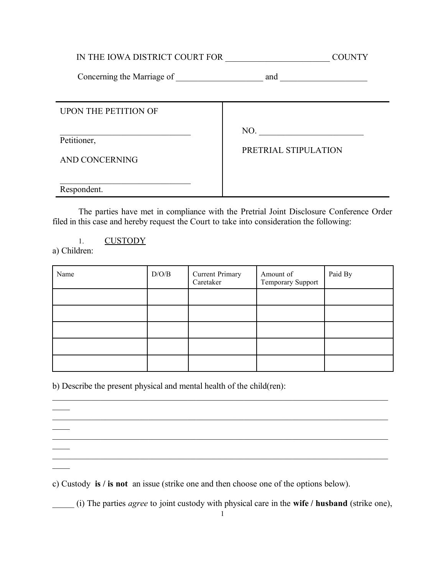IN THE IOWA DISTRICT COURT FOR \_\_\_\_\_\_\_\_\_\_\_\_\_\_\_\_\_\_\_\_\_\_\_\_ COUNTY

Concerning the Marriage of and  $\Box$ 

| <b>UPON THE PETITION OF</b>   |                             |
|-------------------------------|-----------------------------|
| Petitioner,<br>AND CONCERNING | NO.<br>PRETRIAL STIPULATION |
| Respondent.                   |                             |

The parties have met in compliance with the Pretrial Joint Disclosure Conference Order filed in this case and hereby request the Court to take into consideration the following:

1. CUSTODY a) Children:

 $\overline{\phantom{a}}$ 

 $\mathcal{L}_\mathcal{L}$ 

 $\overline{\phantom{a}}$ 

 $\overline{\phantom{a}}$ 

| Name | D/O/B | Current Primary<br>Caretaker | Amount of<br>Temporary Support | Paid By |
|------|-------|------------------------------|--------------------------------|---------|
|      |       |                              |                                |         |
|      |       |                              |                                |         |
|      |       |                              |                                |         |
|      |       |                              |                                |         |
|      |       |                              |                                |         |

 $\mathcal{L}_\mathcal{L} = \{ \mathcal{L}_\mathcal{L} = \{ \mathcal{L}_\mathcal{L} = \{ \mathcal{L}_\mathcal{L} = \{ \mathcal{L}_\mathcal{L} = \{ \mathcal{L}_\mathcal{L} = \{ \mathcal{L}_\mathcal{L} = \{ \mathcal{L}_\mathcal{L} = \{ \mathcal{L}_\mathcal{L} = \{ \mathcal{L}_\mathcal{L} = \{ \mathcal{L}_\mathcal{L} = \{ \mathcal{L}_\mathcal{L} = \{ \mathcal{L}_\mathcal{L} = \{ \mathcal{L}_\mathcal{L} = \{ \mathcal{L}_\mathcal{$ 

 $\mathcal{L}_\text{max}$ 

b) Describe the present physical and mental health of the child(ren):

c) Custody **is / is not** an issue (strike one and then choose one of the options below).

\_\_\_\_\_ (i) The parties *agree* to joint custody with physical care in the **wife / husband** (strike one),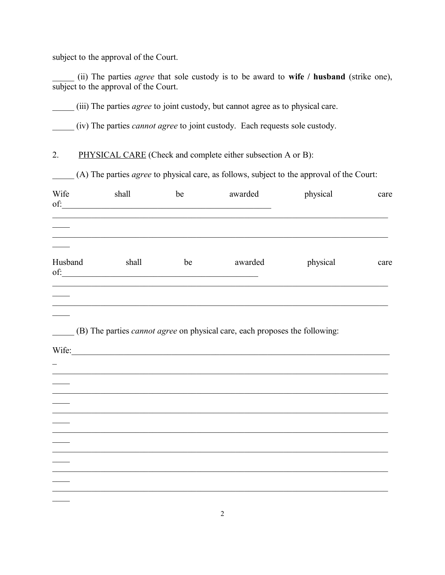subject to the approval of the Court.

\_\_\_\_\_ (ii) The parties *agree* that sole custody is to be award to **wife / husband** (strike one), subject to the approval of the Court.

\_\_\_\_\_ (iii) The parties *agree* to joint custody, but cannot agree as to physical care.

\_\_\_\_\_ (iv) The parties *cannot agree* to joint custody. Each requests sole custody.

2. PHYSICAL CARE (Check and complete either subsection A or B):

\_\_\_\_\_ (A) The parties *agree* to physical care, as follows, subject to the approval of the Court:

| Wife<br>of: | shall<br><u> 1989 - Johann Barbara, martxa alemaniar arg</u> | be | awarded                                                                            | physical | care |
|-------------|--------------------------------------------------------------|----|------------------------------------------------------------------------------------|----------|------|
|             |                                                              |    |                                                                                    |          |      |
| Husband     | shall                                                        | be | awarded                                                                            | physical | care |
|             |                                                              |    |                                                                                    |          |      |
|             | Wife:                                                        |    | (B) The parties <i>cannot agree</i> on physical care, each proposes the following: |          |      |
|             |                                                              |    |                                                                                    |          |      |
|             |                                                              |    |                                                                                    |          |      |
|             |                                                              |    |                                                                                    |          |      |
|             |                                                              |    |                                                                                    |          |      |
|             |                                                              |    |                                                                                    |          |      |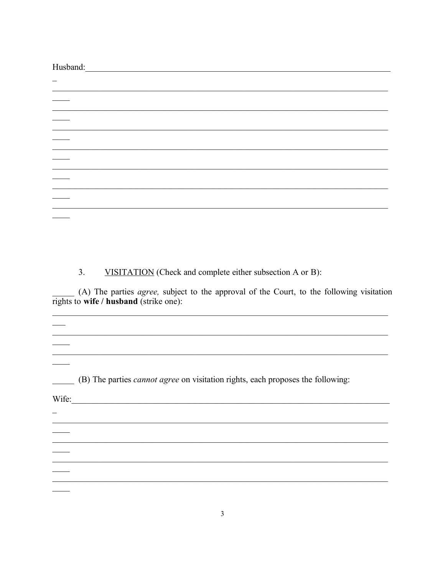Husband:

 $3.$ VISITATION (Check and complete either subsection A or B):

(A) The parties *agree*, subject to the approval of the Court, to the following visitation rights to wife / husband (strike one):

<u> 1989 - Johann Barbara, marka masjid aka masjid aka masjid aka masjid aka masjid aka masjid aka masjid aka ma</u>

<u> 1989 - Johann Stoff, amerikansk politiker (d. 1989)</u>

<u> 1989 - Johann Stoff, amerikansk politiker (d. 1989)</u>

(B) The parties *cannot agree* on visitation rights, each proposes the following:

Wife:

 $\overline{\phantom{a}}$ 

 $\overline{\phantom{0}}$ 

 $\overline{a}$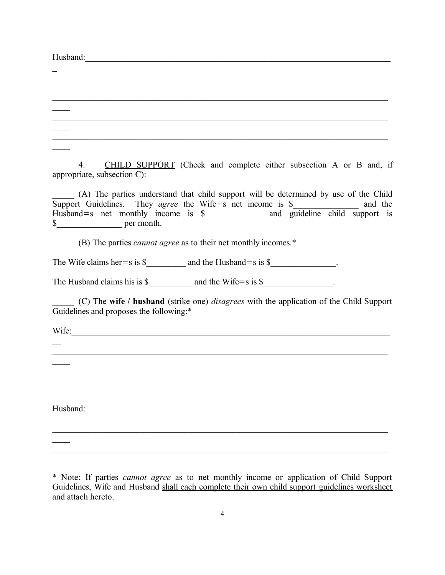$Husband:$ 

 $\overline{\phantom{a}}$ 

 $\overline{\phantom{a}}$ 

| ,我们也不能在这里的时候,我们也不能在这里的时候,我们也不能在这里的时候,我们也不能会在这里的时候,我们也不能会在这里的时候,我们也不能会在这里的时候,我们也不                                                                                                                                                                                                                    |
|-----------------------------------------------------------------------------------------------------------------------------------------------------------------------------------------------------------------------------------------------------------------------------------------------------|
|                                                                                                                                                                                                                                                                                                     |
|                                                                                                                                                                                                                                                                                                     |
|                                                                                                                                                                                                                                                                                                     |
| CHILD SUPPORT (Check and complete either subsection A or B and, if<br>4.<br>appropriate, subsection C):                                                                                                                                                                                             |
| (A) The parties understand that child support will be determined by use of the Child<br>Support Guidelines. They <i>agree</i> the Wife=s net income is $\frac{1}{2}$ and the Husband=s net monthly income is $\frac{1}{2}$ and guideline child support is<br>$\frac{\text{S}}{\text{S}}$ per month. |
| (B) The parties <i>cannot agree</i> as to their net monthly incomes.*                                                                                                                                                                                                                               |
| The Wife claims her $=$ s is $\frac{1}{2}$ and the Husband $=$ s is $\frac{1}{2}$ .                                                                                                                                                                                                                 |
| The Husband claims his is $\frac{1}{2}$ and the Wife=s is $\frac{1}{2}$ .                                                                                                                                                                                                                           |
| (C) The wife / husband (strike one) <i>disagrees</i> with the application of the Child Support<br>Guidelines and proposes the following:*                                                                                                                                                           |
| Wife:                                                                                                                                                                                                                                                                                               |
|                                                                                                                                                                                                                                                                                                     |
|                                                                                                                                                                                                                                                                                                     |
|                                                                                                                                                                                                                                                                                                     |
|                                                                                                                                                                                                                                                                                                     |
| Husband: <u>Contract Communication</u>                                                                                                                                                                                                                                                              |
|                                                                                                                                                                                                                                                                                                     |

\_\_\_\_\_\_\_\_\_\_\_\_\_\_\_\_\_\_\_\_\_\_\_\_\_\_\_\_\_\_\_\_\_\_\_\_\_\_\_\_\_\_\_\_\_\_\_\_\_\_\_\_\_\_\_\_\_\_\_\_\_\_\_\_\_\_\_\_\_\_\_\_\_\_\_\_\_

 $\mathcal{L}_\text{max}$  and  $\mathcal{L}_\text{max}$  and  $\mathcal{L}_\text{max}$  and  $\mathcal{L}_\text{max}$  and  $\mathcal{L}_\text{max}$  and  $\mathcal{L}_\text{max}$ 

<sup>\*</sup> Note: If parties *cannot agree* as to net monthly income or application of Child Support Guidelines, Wife and Husband shall each complete their own child support guidelines worksheet and attach hereto.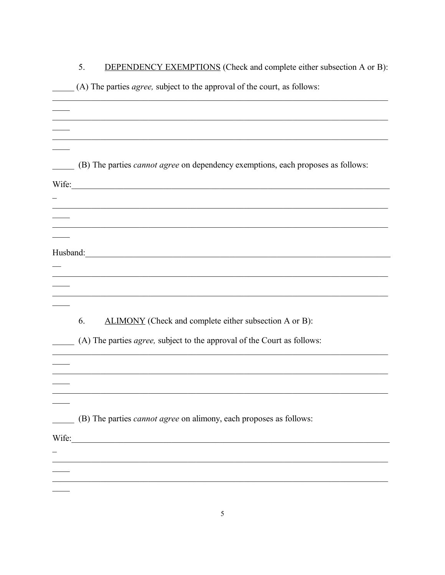|       | <b>DEPENDENCY EXEMPTIONS</b> (Check and complete either subsection A or B):<br>5.       |
|-------|-----------------------------------------------------------------------------------------|
|       | (A) The parties <i>agree</i> , subject to the approval of the court, as follows:        |
|       |                                                                                         |
|       |                                                                                         |
|       |                                                                                         |
|       |                                                                                         |
|       | (B) The parties <i>cannot agree</i> on dependency exemptions, each proposes as follows: |
|       |                                                                                         |
| Wife: |                                                                                         |
|       | <u> 1989 - Johann Stoff, amerikansk politik (f. 1989)</u>                               |
|       |                                                                                         |
|       |                                                                                         |
|       |                                                                                         |
|       |                                                                                         |
|       |                                                                                         |
|       |                                                                                         |
|       |                                                                                         |
|       | ALIMONY (Check and complete either subsection A or B):<br>6.                            |
|       | (A) The parties <i>agree</i> , subject to the approval of the Court as follows:         |
|       |                                                                                         |
|       |                                                                                         |
|       |                                                                                         |
|       |                                                                                         |
|       | (B) The parties <i>cannot agree</i> on alimony, each proposes as follows:               |
|       |                                                                                         |
| Wife: |                                                                                         |
|       |                                                                                         |
|       |                                                                                         |
|       |                                                                                         |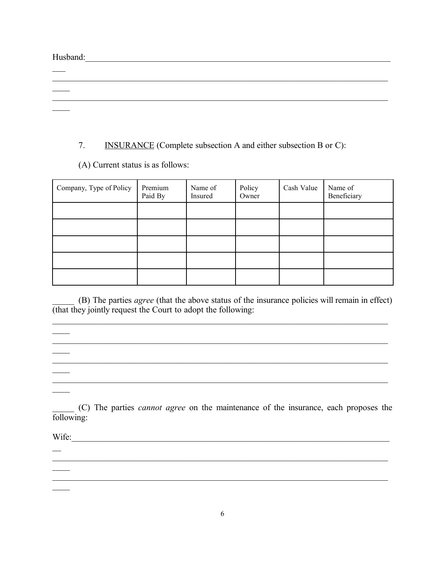Husband:

 $\overline{\phantom{a}}$ 

 $\mathcal{L}_\mathcal{L}$ 

 $\overline{\phantom{a}}$ 

## 7. INSURANCE (Complete subsection A and either subsection B or C):

 $\mathcal{L}_\mathcal{L} = \{ \mathcal{L}_\mathcal{L} = \{ \mathcal{L}_\mathcal{L} = \{ \mathcal{L}_\mathcal{L} = \{ \mathcal{L}_\mathcal{L} = \{ \mathcal{L}_\mathcal{L} = \{ \mathcal{L}_\mathcal{L} = \{ \mathcal{L}_\mathcal{L} = \{ \mathcal{L}_\mathcal{L} = \{ \mathcal{L}_\mathcal{L} = \{ \mathcal{L}_\mathcal{L} = \{ \mathcal{L}_\mathcal{L} = \{ \mathcal{L}_\mathcal{L} = \{ \mathcal{L}_\mathcal{L} = \{ \mathcal{L}_\mathcal{$ 

 $\mathcal{L}_\text{max}$ 

(A) Current status is as follows:

| Company, Type of Policy | Premium<br>Paid By | Name of<br>Insured | Policy<br>Owner | Cash Value | Name of<br>Beneficiary |
|-------------------------|--------------------|--------------------|-----------------|------------|------------------------|
|                         |                    |                    |                 |            |                        |
|                         |                    |                    |                 |            |                        |
|                         |                    |                    |                 |            |                        |
|                         |                    |                    |                 |            |                        |
|                         |                    |                    |                 |            |                        |

\_\_\_\_\_ (B) The parties *agree* (that the above status of the insurance policies will remain in effect) (that they jointly request the Court to adopt the following:

 $\mathcal{L}_\mathcal{L} = \{ \mathcal{L}_\mathcal{L} = \{ \mathcal{L}_\mathcal{L} = \{ \mathcal{L}_\mathcal{L} = \{ \mathcal{L}_\mathcal{L} = \{ \mathcal{L}_\mathcal{L} = \{ \mathcal{L}_\mathcal{L} = \{ \mathcal{L}_\mathcal{L} = \{ \mathcal{L}_\mathcal{L} = \{ \mathcal{L}_\mathcal{L} = \{ \mathcal{L}_\mathcal{L} = \{ \mathcal{L}_\mathcal{L} = \{ \mathcal{L}_\mathcal{L} = \{ \mathcal{L}_\mathcal{L} = \{ \mathcal{L}_\mathcal{$ 

 $\mathcal{L}_\mathcal{L} = \{ \mathcal{L}_\mathcal{L} = \{ \mathcal{L}_\mathcal{L} = \{ \mathcal{L}_\mathcal{L} = \{ \mathcal{L}_\mathcal{L} = \{ \mathcal{L}_\mathcal{L} = \{ \mathcal{L}_\mathcal{L} = \{ \mathcal{L}_\mathcal{L} = \{ \mathcal{L}_\mathcal{L} = \{ \mathcal{L}_\mathcal{L} = \{ \mathcal{L}_\mathcal{L} = \{ \mathcal{L}_\mathcal{L} = \{ \mathcal{L}_\mathcal{L} = \{ \mathcal{L}_\mathcal{L} = \{ \mathcal{L}_\mathcal{$ 

 $\mathcal{L}_\mathcal{L} = \{ \mathcal{L}_\mathcal{L} = \{ \mathcal{L}_\mathcal{L} = \{ \mathcal{L}_\mathcal{L} = \{ \mathcal{L}_\mathcal{L} = \{ \mathcal{L}_\mathcal{L} = \{ \mathcal{L}_\mathcal{L} = \{ \mathcal{L}_\mathcal{L} = \{ \mathcal{L}_\mathcal{L} = \{ \mathcal{L}_\mathcal{L} = \{ \mathcal{L}_\mathcal{L} = \{ \mathcal{L}_\mathcal{L} = \{ \mathcal{L}_\mathcal{L} = \{ \mathcal{L}_\mathcal{L} = \{ \mathcal{L}_\mathcal{$ 

\_\_\_\_\_\_\_\_\_\_\_\_\_\_\_\_\_\_\_\_\_\_\_\_\_\_\_\_\_\_\_\_\_\_\_\_\_\_\_\_\_\_\_\_\_\_\_\_\_\_\_\_\_\_\_\_\_\_\_\_\_\_\_\_\_\_\_\_\_\_\_\_\_\_\_\_\_

\_\_\_\_\_ (C) The parties *cannot agree* on the maintenance of the insurance, each proposes the following:

 $\mathcal{L}_\mathcal{L} = \{ \mathcal{L}_\mathcal{L} = \{ \mathcal{L}_\mathcal{L} = \{ \mathcal{L}_\mathcal{L} = \{ \mathcal{L}_\mathcal{L} = \{ \mathcal{L}_\mathcal{L} = \{ \mathcal{L}_\mathcal{L} = \{ \mathcal{L}_\mathcal{L} = \{ \mathcal{L}_\mathcal{L} = \{ \mathcal{L}_\mathcal{L} = \{ \mathcal{L}_\mathcal{L} = \{ \mathcal{L}_\mathcal{L} = \{ \mathcal{L}_\mathcal{L} = \{ \mathcal{L}_\mathcal{L} = \{ \mathcal{L}_\mathcal{$ 

\_\_\_\_\_\_\_\_\_\_\_\_\_\_\_\_\_\_\_\_\_\_\_\_\_\_\_\_\_\_\_\_\_\_\_\_\_\_\_\_\_\_\_\_\_\_\_\_\_\_\_\_\_\_\_\_\_\_\_\_\_\_\_\_\_\_\_\_\_\_\_\_\_\_\_\_\_

Wife:\_\_\_\_\_\_\_\_\_\_\_\_\_\_\_\_\_\_\_\_\_\_\_\_\_\_\_\_\_\_\_\_\_\_\_\_\_\_\_\_\_\_\_\_\_\_\_\_\_\_\_\_\_\_\_\_\_\_\_\_\_\_\_\_\_\_\_\_\_\_\_\_\_

 $\mathcal{L}_\mathcal{L}$ 

 $\overline{\phantom{a}}$ 

 $\overline{\phantom{0}}$ 

 $\mathcal{L}_\mathcal{L}$ 

 $\overline{\phantom{a}}$ 

 $\overline{\phantom{a}}$ 

 $\mathcal{L}_\mathcal{L}$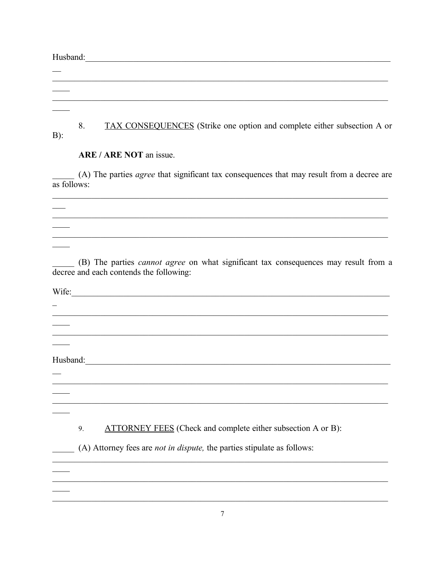Husband: <u>Contained and the contained and the contained and the contact of the contact of the contact of the contact of the contact of the contact of the contact of the contact of the contact of the contact of the contact </u>  $\overline{\phantom{0}}$ 8. TAX CONSEQUENCES (Strike one option and complete either subsection A or  $B)$ : ARE / ARE NOT an issue. (A) The parties *agree* that significant tax consequences that may result from a decree are as follows: 

(B) The parties *cannot agree* on what significant tax consequences may result from a decree and each contends the following:

Wife:  $\overline{a}$ Husband: The Commission of the Commission of the Commission of the Commission of the Commission of the Commission of the Commission of the Commission of the Commission of the Commission of the Commission of the Commission  $\overline{\phantom{0}}$ **ATTORNEY FEES** (Check and complete either subsection A or B): 9. (A) Attorney fees are *not in dispute*, the parties stipulate as follows: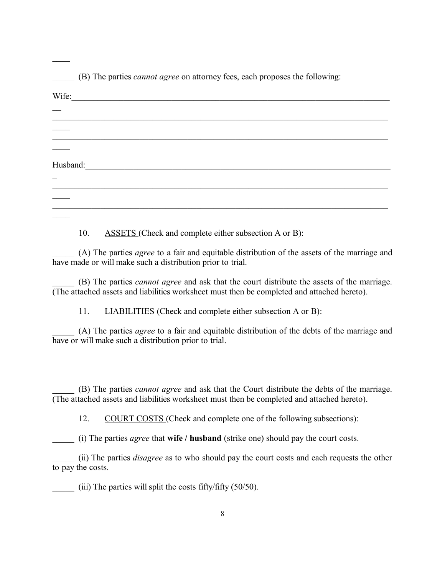| (B) The parties <i>cannot agree</i> on attorney fees, each proposes the following: |  |
|------------------------------------------------------------------------------------|--|
| Wife:                                                                              |  |
|                                                                                    |  |
|                                                                                    |  |
|                                                                                    |  |
| Husband:                                                                           |  |
|                                                                                    |  |
|                                                                                    |  |
|                                                                                    |  |

10. ASSETS (Check and complete either subsection A or B):

 $\overline{\phantom{a}}$ 

\_\_\_\_\_ (A) The parties *agree* to a fair and equitable distribution of the assets of the marriage and have made or will make such a distribution prior to trial.

\_\_\_\_\_ (B) The parties *cannot agree* and ask that the court distribute the assets of the marriage. (The attached assets and liabilities worksheet must then be completed and attached hereto).

11. **LIABILITIES** (Check and complete either subsection A or B):

\_\_\_\_\_ (A) The parties *agree* to a fair and equitable distribution of the debts of the marriage and have or will make such a distribution prior to trial.

\_\_\_\_\_ (B) The parties *cannot agree* and ask that the Court distribute the debts of the marriage. (The attached assets and liabilities worksheet must then be completed and attached hereto).

12. COURT COSTS (Check and complete one of the following subsections):

\_\_\_\_\_ (i) The parties *agree* that **wife / husband** (strike one) should pay the court costs.

\_\_\_\_\_ (ii) The parties *disagree* as to who should pay the court costs and each requests the other to pay the costs.

 $(iii)$  The parties will split the costs fifty/fifty (50/50).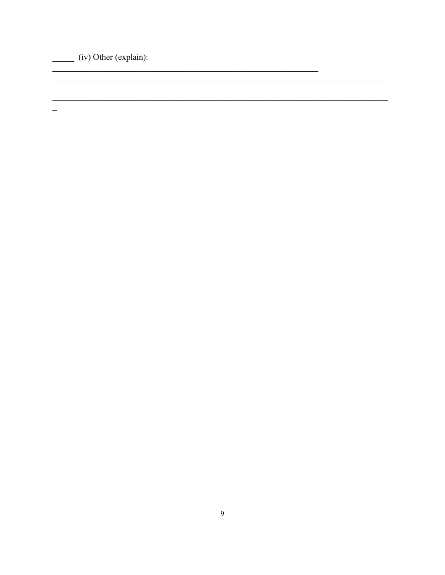$\frac{1}{\sqrt{1-\frac{1}{\sqrt{1-\frac{1}{\sqrt{1-\frac{1}{\sqrt{1-\frac{1}{\sqrt{1-\frac{1}{\sqrt{1-\frac{1}{\sqrt{1-\frac{1}{\sqrt{1-\frac{1}{\sqrt{1-\frac{1}{\sqrt{1-\frac{1}{\sqrt{1-\frac{1}{\sqrt{1-\frac{1}{\sqrt{1-\frac{1}{\sqrt{1-\frac{1}{\sqrt{1-\frac{1}{\sqrt{1-\frac{1}{\sqrt{1-\frac{1}{\sqrt{1-\frac{1}{\sqrt{1-\frac{1}{\sqrt{1-\frac{1}{\sqrt{1-\frac{1}{\sqrt{1-\frac{1}{\sqrt{1-\frac{1}{\sqrt{1-\frac{1$ 

 $\overline{\phantom{0}}$ 

 $\frac{1}{2}$ 

<u> 1989 - Jan Samuel Barbara, margaret eta idazlea (h. 1982).</u>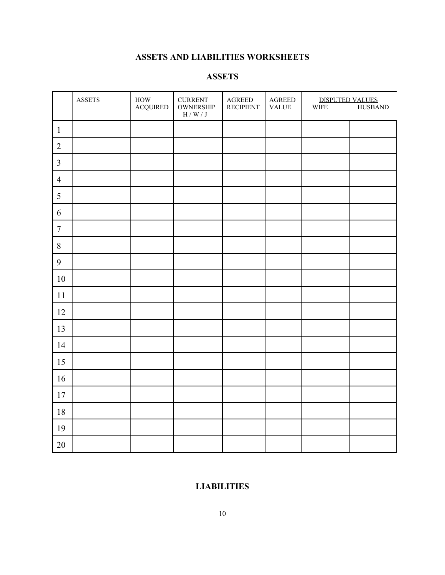# **ASSETS AND LIABILITIES WORKSHEETS**

### **ASSETS**

|                | <b>ASSETS</b> | $\operatorname{HOW}$<br><b>ACQUIRED</b> | <b>CURRENT</b><br><b>OWNERSHIP</b><br>$\mathcal{H}$ / W / J | $\operatorname{AGREED}$<br><b>RECIPIENT</b> | $\operatorname{AGREED}$<br><b>VALUE</b> | <b>DISPUTED VALUES</b><br><b>WIFE</b> | <b>HUSBAND</b> |
|----------------|---------------|-----------------------------------------|-------------------------------------------------------------|---------------------------------------------|-----------------------------------------|---------------------------------------|----------------|
| $\mathbf{1}$   |               |                                         |                                                             |                                             |                                         |                                       |                |
| $\sqrt{2}$     |               |                                         |                                                             |                                             |                                         |                                       |                |
| $\mathfrak{Z}$ |               |                                         |                                                             |                                             |                                         |                                       |                |
| $\overline{4}$ |               |                                         |                                                             |                                             |                                         |                                       |                |
| 5              |               |                                         |                                                             |                                             |                                         |                                       |                |
| 6              |               |                                         |                                                             |                                             |                                         |                                       |                |
| $\overline{7}$ |               |                                         |                                                             |                                             |                                         |                                       |                |
| $\,8\,$        |               |                                         |                                                             |                                             |                                         |                                       |                |
| 9              |               |                                         |                                                             |                                             |                                         |                                       |                |
| 10             |               |                                         |                                                             |                                             |                                         |                                       |                |
| 11             |               |                                         |                                                             |                                             |                                         |                                       |                |
| 12             |               |                                         |                                                             |                                             |                                         |                                       |                |
| 13             |               |                                         |                                                             |                                             |                                         |                                       |                |
| 14             |               |                                         |                                                             |                                             |                                         |                                       |                |
| 15             |               |                                         |                                                             |                                             |                                         |                                       |                |
| 16             |               |                                         |                                                             |                                             |                                         |                                       |                |
| $17\,$         |               |                                         |                                                             |                                             |                                         |                                       |                |
| $18\,$         |               |                                         |                                                             |                                             |                                         |                                       |                |
| 19             |               |                                         |                                                             |                                             |                                         |                                       |                |
| $20\,$         |               |                                         |                                                             |                                             |                                         |                                       |                |

# **LIABILITIES**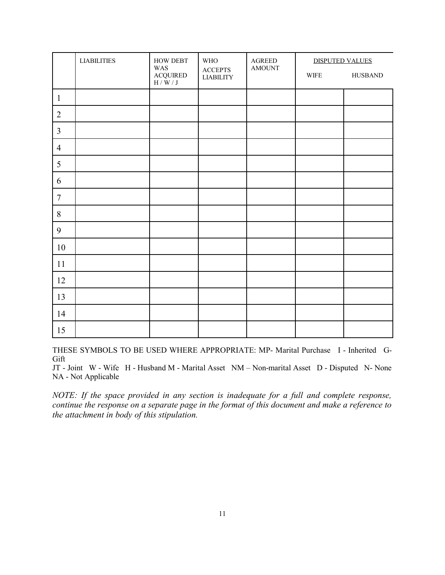|                | <b>LIABILITIES</b> | <b>HOW DEBT</b>                                                                                       | $\ensuremath{\mathsf{W}\mathsf{H}\mathsf{O}}$       | AGREED        | <b>DISPUTED VALUES</b>     |                |
|----------------|--------------------|-------------------------------------------------------------------------------------------------------|-----------------------------------------------------|---------------|----------------------------|----------------|
|                |                    | WAS<br>$\begin{array}{lcl} \text{ACQUIRED} \\ \text{H} \, / \, \text{W} \, / \, \text{J} \end{array}$ | $\boldsymbol{\mathsf{ACCEPTS}}$<br><b>LIABILITY</b> | <b>AMOUNT</b> | $\ensuremath{\text{WIFE}}$ | <b>HUSBAND</b> |
| $\mathbf{1}$   |                    |                                                                                                       |                                                     |               |                            |                |
| $\overline{2}$ |                    |                                                                                                       |                                                     |               |                            |                |
| $\overline{3}$ |                    |                                                                                                       |                                                     |               |                            |                |
| $\overline{4}$ |                    |                                                                                                       |                                                     |               |                            |                |
| 5              |                    |                                                                                                       |                                                     |               |                            |                |
| 6              |                    |                                                                                                       |                                                     |               |                            |                |
| $\overline{7}$ |                    |                                                                                                       |                                                     |               |                            |                |
| $\,8\,$        |                    |                                                                                                       |                                                     |               |                            |                |
| 9              |                    |                                                                                                       |                                                     |               |                            |                |
| 10             |                    |                                                                                                       |                                                     |               |                            |                |
| 11             |                    |                                                                                                       |                                                     |               |                            |                |
| 12             |                    |                                                                                                       |                                                     |               |                            |                |
| 13             |                    |                                                                                                       |                                                     |               |                            |                |
| 14             |                    |                                                                                                       |                                                     |               |                            |                |
| 15             |                    |                                                                                                       |                                                     |               |                            |                |

THESE SYMBOLS TO BE USED WHERE APPROPRIATE: MP- Marital Purchase I - Inherited G-Gift

JT - Joint W - Wife H - Husband M - Marital Asset NM – Non-marital Asset D - Disputed N- None NA - Not Applicable

*NOTE: If the space provided in any section is inadequate for a full and complete response, continue the response on a separate page in the format of this document and make a reference to the attachment in body of this stipulation.*